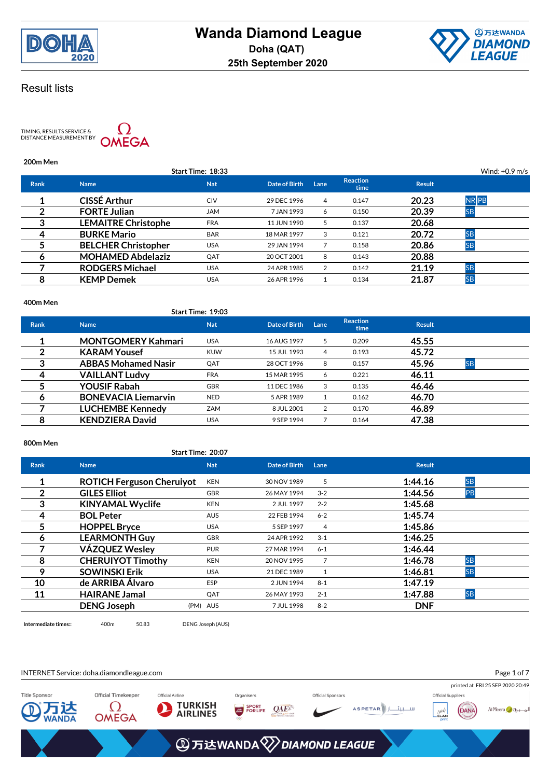



TIMING, RESULTS SERVICE &<br>DISTANCE MEASUREMENT BY



### **200m Men**

|             |                            | Start Time: 18:33 |               |      |                         |               | Wind: $+0.9$ m/s |  |
|-------------|----------------------------|-------------------|---------------|------|-------------------------|---------------|------------------|--|
| <b>Rank</b> | <b>Name</b>                | <b>Nat</b>        | Date of Birth | Lane | <b>Reaction</b><br>time | <b>Result</b> |                  |  |
|             | <b>CISSÉ Arthur</b>        | <b>CIV</b>        | 29 DEC 1996   | 4    | 0.147                   | 20.23         | <b>NR</b> PB     |  |
| າ           | <b>FORTE Julian</b>        | <b>JAM</b>        | 7 JAN 1993    | 6    | 0.150                   | 20.39         | <b>SB</b>        |  |
| 3           | <b>LEMAITRE Christophe</b> | <b>FRA</b>        | 11 JUN 1990   | 5    | 0.137                   | 20.68         |                  |  |
| 4           | <b>BURKE Mario</b>         | <b>BAR</b>        | 18 MAR 1997   | 3    | 0.121                   | 20.72         | <b>SB</b>        |  |
|             | <b>BELCHER Christopher</b> | <b>USA</b>        | 29 JAN 1994   |      | 0.158                   | 20.86         | <b>SB</b>        |  |
| O           | <b>MOHAMED Abdelaziz</b>   | QAT               | 20 OCT 2001   | 8    | 0.143                   | 20.88         |                  |  |
|             | <b>RODGERS Michael</b>     | USA               | 24 APR 1985   | 2    | 0.142                   | 21.19         | <b>SB</b>        |  |
| 8           | <b>KEMP Demek</b>          | USA               | 26 APR 1996   |      | 0.134                   | 21.87         | <b>SB</b>        |  |
|             |                            |                   |               |      |                         |               |                  |  |

### **400m Men**

|             |                            | Start Time: 19:03 |               |      |                         |               |           |
|-------------|----------------------------|-------------------|---------------|------|-------------------------|---------------|-----------|
| <b>Rank</b> | <b>Name</b>                | <b>Nat</b>        | Date of Birth | Lane | <b>Reaction</b><br>time | <b>Result</b> |           |
| 1           | <b>MONTGOMERY Kahmari</b>  | <b>USA</b>        | 16 AUG 1997   | 5    | 0.209                   | 45.55         |           |
| 2           | <b>KARAM Yousef</b>        | <b>KUW</b>        | 15 JUL 1993   | 4    | 0.193                   | 45.72         |           |
| 3           | <b>ABBAS Mohamed Nasir</b> | QAT               | 28 OCT 1996   | 8    | 0.157                   | 45.96         | <b>SB</b> |
| 4           | <b>VAILLANT Ludvy</b>      | <b>FRA</b>        | 15 MAR 1995   | 6    | 0.221                   | 46.11         |           |
|             | <b>YOUSIF Rabah</b>        | <b>GBR</b>        | 11 DEC 1986   | 3    | 0.135                   | 46.46         |           |
| 6           | <b>BONEVACIA Liemarvin</b> | <b>NED</b>        | 5 APR 1989    |      | 0.162                   | 46.70         |           |
|             | <b>LUCHEMBE Kennedy</b>    | <b>ZAM</b>        | 8 JUL 2001    | 2    | 0.170                   | 46.89         |           |
| 8           | <b>KENDZIERA David</b>     | <b>USA</b>        | 9 SEP 1994    |      | 0.164                   | 47.38         |           |

### **800m Men**

## **Start Time: 20:07**

| <b>Rank</b> | <b>Name</b>                      | <b>Nat</b> | Date of Birth | Lane         | <b>Result</b>        |
|-------------|----------------------------------|------------|---------------|--------------|----------------------|
|             | <b>ROTICH Ferguson Cheruiyot</b> | <b>KEN</b> | 30 NOV 1989   | 5            | <b>SB</b><br>1:44.16 |
| 2           | <b>GILES Elliot</b>              | <b>GBR</b> | 26 MAY 1994   | $3 - 2$      | 1:44.56<br>PB        |
| 3           | <b>KINYAMAL Wyclife</b>          | <b>KEN</b> | 2 JUL 1997    | $2 - 2$      | 1:45.68              |
| 4           | <b>BOL Peter</b>                 | <b>AUS</b> | 22 FEB 1994   | $6 - 2$      | 1:45.74              |
| 5           | <b>HOPPEL Bryce</b>              | <b>USA</b> | 5 SEP 1997    | 4            | 1:45.86              |
| 6           | <b>LEARMONTH Guy</b>             | <b>GBR</b> | 24 APR 1992   | $3 - 1$      | 1:46.25              |
| 7           | <b>VÁZQUEZ Wesley</b>            | <b>PUR</b> | 27 MAR 1994   | $6 - 1$      | 1:46.44              |
| 8           | <b>CHERUIYOT Timothy</b>         | <b>KEN</b> | 20 NOV 1995   | 7            | <b>SB</b><br>1:46.78 |
| 9           | <b>SOWINSKI Erik</b>             | <b>USA</b> | 21 DEC 1989   | $\mathbf{1}$ | <b>SB</b><br>1:46.81 |
| 10          | de ARRIBA Álvaro                 | <b>ESP</b> | 2 JUN 1994    | $8 - 1$      | 1:47.19              |
| 11          | <b>HAIRANE Jamal</b>             | QAT        | 26 MAY 1993   | $2 - 1$      | <b>SB</b><br>1:47.88 |
|             | <b>DENG Joseph</b>               | (PM) AUS   | 7 JUL 1998    | $8 - 2$      | <b>DNF</b>           |

**Intermediate times::** 400m 50.83 DENG Joseph (AUS)

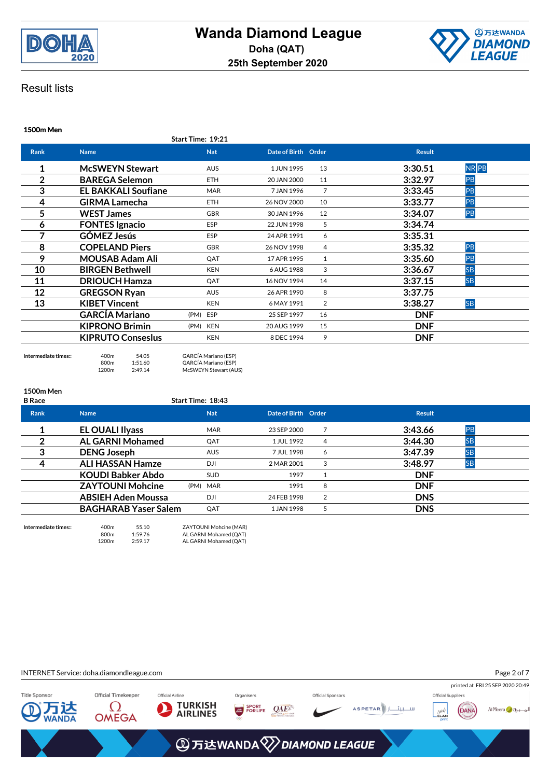



**1500m Men**

| <b>Name</b>                | <b>Nat</b>  |                   |                | <b>Result</b>       |           |
|----------------------------|-------------|-------------------|----------------|---------------------|-----------|
| <b>McSWEYN Stewart</b>     | <b>AUS</b>  | 1 JUN 1995        | 13             | 3:30.51             | NR PB     |
| <b>BAREGA Selemon</b>      | <b>ETH</b>  | 20 JAN 2000       | 11             | 3:32.97             | PB        |
| <b>EL BAKKALI Soufiane</b> | <b>MAR</b>  | 7 JAN 1996        | $\overline{7}$ | 3:33.45             | PB        |
| <b>GIRMA Lamecha</b>       | <b>ETH</b>  | 26 NOV 2000       | 10             | 3:33.77             | PB        |
| <b>WEST James</b>          | <b>GBR</b>  | 30 JAN 1996       | 12             | 3:34.07             | PB        |
| <b>FONTES Ignacio</b>      | <b>ESP</b>  | 22 JUN 1998       | 5              | 3:34.74             |           |
| <b>GÓMEZ Jesús</b>         | <b>ESP</b>  | 24 APR 1991       | 6              | 3:35.31             |           |
| <b>COPELAND Piers</b>      | <b>GBR</b>  | 26 NOV 1998       | 4              | 3:35.32             | PB        |
| <b>MOUSAB Adam Ali</b>     | QAT         | 17 APR 1995       | 1              | 3:35.60             | PB        |
| <b>BIRGEN Bethwell</b>     | <b>KEN</b>  | 6 AUG 1988        | 3              | 3:36.67             | <b>SB</b> |
| <b>DRIOUCH Hamza</b>       | QAT         | 16 NOV 1994       | 14             | 3:37.15             | <b>SB</b> |
| <b>GREGSON Ryan</b>        | <b>AUS</b>  | 26 APR 1990       | 8              | 3:37.75             |           |
| <b>KIBET Vincent</b>       | <b>KEN</b>  | 6 MAY 1991        | 2              | 3:38.27             | <b>SB</b> |
| <b>GARCÍA Mariano</b>      | (PM)<br>ESP | 25 SEP 1997       | 16             | <b>DNF</b>          |           |
| <b>KIPRONO Brimin</b>      | (PM) KEN    | 20 AUG 1999       | 15             | <b>DNF</b>          |           |
| <b>KIPRUTO Conseslus</b>   | <b>KEN</b>  | 8 DEC 1994        | 9              | <b>DNF</b>          |           |
|                            |             | Start Time: 19:21 |                | Date of Birth Order |           |

**Intermediate times::** 400m 54.05 GARCÍA Mariano (ESP)<br>800m 1:51.60 GARCÍA Mariano (ESP) 800m 1:51.60 GARCÍA Mariano (ESP)<br>1200m 1:51.60 GARCÍA Mariano (ESP) McSWEYN Stewart (AUS)

| <b>1500m Men</b><br><b>B</b> Race |                             | Start Time: 18:43 |                     |   |               |           |  |
|-----------------------------------|-----------------------------|-------------------|---------------------|---|---------------|-----------|--|
| <b>Rank</b>                       | <b>Name</b>                 | <b>Nat</b>        | Date of Birth Order |   | <b>Result</b> |           |  |
|                                   | <b>EL OUALI Ilyass</b>      | <b>MAR</b>        | 23 SEP 2000         |   | 3:43.66       | PB        |  |
| 2                                 | <b>AL GARNI Mohamed</b>     | QAT               | 1 JUL 1992          | 4 | 3:44.30       | <b>SB</b> |  |
| 3                                 | <b>DENG Joseph</b>          | <b>AUS</b>        | 7 JUL 1998          | 6 | 3:47.39       | <b>SB</b> |  |
| 4                                 | <b>ALI HASSAN Hamze</b>     | DJI               | 2 MAR 2001          | 3 | 3:48.97       | <b>SB</b> |  |
|                                   | <b>KOUDI Babker Abdo</b>    | <b>SUD</b>        | 1997                |   | <b>DNF</b>    |           |  |
|                                   | <b>ZAYTOUNI Mohcine</b>     | (PM) MAR          | 1991                | 8 | <b>DNF</b>    |           |  |
|                                   | <b>ABSIEH Aden Moussa</b>   | DJI               | 24 FEB 1998         | 2 | <b>DNS</b>    |           |  |
|                                   | <b>BAGHARAB Yaser Salem</b> | QAT               | 1 JAN 1998          | 5 | <b>DNS</b>    |           |  |
|                                   |                             |                   |                     |   |               |           |  |

**Intermediate times::** 400m 55.10 ZAYTOUNI Mohcine (MAR) 800m 1:59.76 AL GARNI Mohamed (QAT)<br>1200m 1:59.76 AL GARNI Mohamed (QAT) AL GARNI Mohamed (QAT)

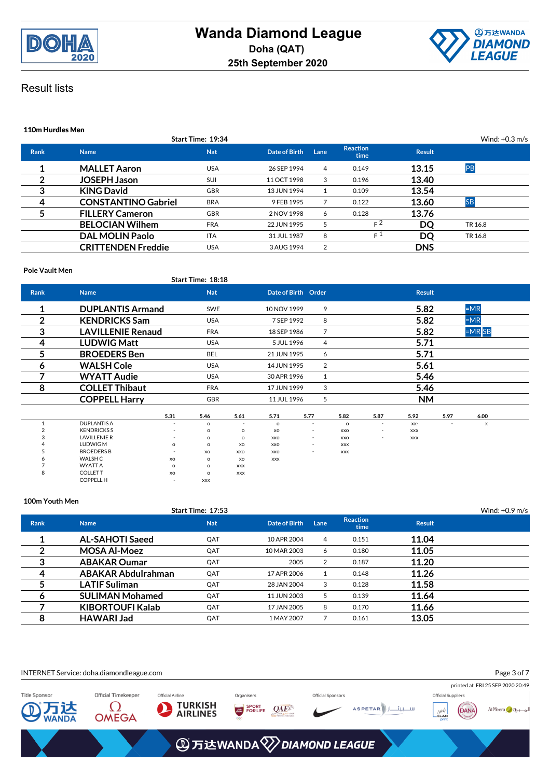



| 110m Hurdles Men |                            |                          |               |      |                         |               |                  |  |
|------------------|----------------------------|--------------------------|---------------|------|-------------------------|---------------|------------------|--|
|                  |                            | <b>Start Time: 19:34</b> |               |      |                         |               | Wind: $+0.3$ m/s |  |
| <b>Rank</b>      | <b>Name</b>                | <b>Nat</b>               | Date of Birth | Lane | <b>Reaction</b><br>time | <b>Result</b> |                  |  |
|                  | <b>MALLET Aaron</b>        | <b>USA</b>               | 26 SEP 1994   | 4    | 0.149                   | 13.15         | PB               |  |
| 2                | <b>JOSEPH Jason</b>        | SUI                      | 11 OCT 1998   | 3    | 0.196                   | 13.40         |                  |  |
| 3                | <b>KING David</b>          | <b>GBR</b>               | 13 JUN 1994   | 1    | 0.109                   | 13.54         |                  |  |
| 4                | <b>CONSTANTINO Gabriel</b> | <b>BRA</b>               | 9 FEB 1995    |      | 0.122                   | 13.60         | <b>SB</b>        |  |
|                  | <b>FILLERY Cameron</b>     | <b>GBR</b>               | 2 NOV 1998    | 6    | 0.128                   | 13.76         |                  |  |
|                  | <b>BELOCIAN Wilhem</b>     | <b>FRA</b>               | 22 JUN 1995   | 5    | $F^2$                   | DQ            | TR 16.8          |  |
|                  | <b>DAL MOLIN Paolo</b>     | <b>ITA</b>               | 31 JUL 1987   | 8    | F <sup>1</sup>          | DQ            | TR 16.8          |  |
|                  | <b>CRITTENDEN Freddie</b>  | <b>USA</b>               | 3 AUG 1994    | 2    |                         | <b>DNS</b>    |                  |  |

### **Pole Vault Men**

|                |                          |                          | Start Time: 18:18 |                          |                     |                          |                |                          |               |                          |          |  |
|----------------|--------------------------|--------------------------|-------------------|--------------------------|---------------------|--------------------------|----------------|--------------------------|---------------|--------------------------|----------|--|
| <b>Rank</b>    | <b>Name</b>              |                          | <b>Nat</b>        |                          | Date of Birth Order |                          |                |                          | <b>Result</b> |                          |          |  |
| 1              | <b>DUPLANTIS Armand</b>  |                          | SWE               |                          | 10 NOV 1999         |                          | 9              |                          | 5.82          |                          | $=MR$    |  |
| 2              | <b>KENDRICKS Sam</b>     |                          | <b>USA</b>        |                          | 7 SEP 1992          |                          | 8              |                          | 5.82          |                          | $=MR$    |  |
| 3              | <b>LAVILLENIE Renaud</b> |                          | <b>FRA</b>        |                          | 18 SEP 1986         |                          | $\overline{7}$ |                          | 5.82          |                          | $=MR$ SB |  |
| 4              | <b>LUDWIG Matt</b>       |                          | <b>USA</b>        |                          | 5 JUL 1996          |                          | 4              |                          | 5.71          |                          |          |  |
| 5              | <b>BROEDERS</b> Ben      |                          | <b>BEL</b>        |                          | 21 JUN 1995         |                          | 6              |                          | 5.71          |                          |          |  |
| 6              | <b>WALSH Cole</b>        |                          | <b>USA</b>        |                          | 14 JUN 1995         |                          | $\overline{2}$ |                          | 5.61          |                          |          |  |
| 7              | <b>WYATT Audie</b>       |                          | <b>USA</b>        |                          | 30 APR 1996         |                          | 1              |                          | 5.46          |                          |          |  |
| 8              | <b>COLLET Thibaut</b>    |                          | <b>FRA</b>        |                          | 17 JUN 1999         |                          | 3              |                          | 5.46          |                          |          |  |
|                | <b>COPPELL Harry</b>     |                          | GBR               |                          | 11 JUL 1996         |                          | 5              |                          | <b>NM</b>     |                          |          |  |
|                |                          | 5.31                     | 5.46              | 5.61                     | 5.71                | 5.77                     | 5.82           | 5.87                     | 5.92          | 5.97                     | 6.00     |  |
| 1              | <b>DUPLANTIS A</b>       | $\overline{\phantom{a}}$ | $\circ$           | $\overline{\phantom{a}}$ | $\circ$             | $\overline{\phantom{a}}$ | $\circ$        | $\overline{\phantom{a}}$ | $XX-$         | $\overline{\phantom{a}}$ | x        |  |
| $\overline{2}$ | <b>KENDRICKSS</b>        |                          | $\Omega$          | $\circ$                  | XO                  | -                        | XXO            | $\overline{a}$           | <b>XXX</b>    |                          |          |  |
|                | <b>LAVILLENIE R</b>      |                          | $\Omega$          | $\circ$                  | XXO                 | $\overline{\phantom{a}}$ | XXO            | $\overline{\phantom{a}}$ | XXX           |                          |          |  |
|                | LUDWIG M                 | $\circ$                  | $\Omega$          | XO                       | XXO                 | ۰                        | <b>XXX</b>     |                          |               |                          |          |  |
|                | <b>BROEDERS B</b>        |                          | XO                | XXO                      | XXO                 | $\sim$                   | <b>XXX</b>     |                          |               |                          |          |  |
|                | WALSH C                  | XO                       | $\Omega$          | XO                       | <b>XXX</b>          |                          |                |                          |               |                          |          |  |
|                | <b>WYATT A</b>           | $\circ$                  | $\Omega$          | <b>XXX</b>               |                     |                          |                |                          |               |                          |          |  |
| 8              | <b>COLLETT</b>           | xo                       | $\Omega$          | <b>XXX</b>               |                     |                          |                |                          |               |                          |          |  |
|                | <b>COPPELL H</b>         | $\sim$                   | <b>XXX</b>        |                          |                     |                          |                |                          |               |                          |          |  |

### **100m Youth Men**

|             |                           | Start Time: 17:53 |               |                |                         |        | Wind: $+0.9$ m/s |
|-------------|---------------------------|-------------------|---------------|----------------|-------------------------|--------|------------------|
| <b>Rank</b> | <b>Name</b>               | <b>Nat</b>        | Date of Birth | Lane           | <b>Reaction</b><br>time | Result |                  |
|             | <b>AL-SAHOTI Saeed</b>    | QAT               | 10 APR 2004   | $\overline{4}$ | 0.151                   | 11.04  |                  |
|             | <b>MOSA Al-Moez</b>       | QAT               | 10 MAR 2003   | 6              | 0.180                   | 11.05  |                  |
| ≏           | <b>ABAKAR Oumar</b>       | QAT               | 2005          |                | 0.187                   | 11.20  |                  |
| 4           | <b>ABAKAR Abdulrahman</b> | QAT               | 17 APR 2006   |                | 0.148                   | 11.26  |                  |
|             | <b>LATIF Suliman</b>      | QAT               | 28 JAN 2004   | 3              | 0.128                   | 11.58  |                  |
| 6           | <b>SULIMAN Mohamed</b>    | QAT               | 11 JUN 2003   | 5.             | 0.139                   | 11.64  |                  |
|             | <b>KIBORTOUFI Kalab</b>   | QAT               | 17 JAN 2005   | 8              | 0.170                   | 11.66  |                  |
| 8           | <b>HAWARI Jad</b>         | QAT               | 1 MAY 2007    |                | 0.161                   | 13.05  |                  |

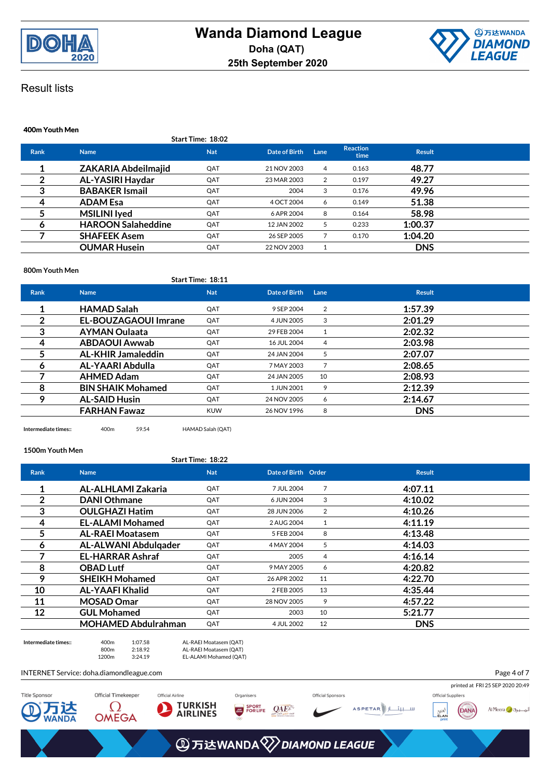



Page 4 of 7

## Result lists

### **400m Youth Men Start Time: 18:02 Rank Name Nat Date of Birth Lane Reaction time Result 1 ZAKARIA Abdeilmajid** QAT 21 NOV 2003 <sup>4</sup> 0.163 **48.77 2 AL-YASIRI Haydar** QAT 23 MAR 2003 <sup>2</sup> 0.197 **49.27 3 BABAKER Ismail** QAT <sup>2004</sup> <sup>3</sup> 0.176 **49.96 4 ADAM Esa** QAT 4 OCT 2004 <sup>6</sup> 0.149 **51.38 5 MSILINI Iyed** QAT 6 APR 2004 <sup>8</sup> 0.164 **58.98 6 HAROON Salaheddine** QAT 12 JAN 2002 <sup>5</sup> 0.233 **1:00.37 7 SHAFEEK Asem** QAT 26 SEP 2005 <sup>7</sup> 0.170 **1:04.20 OUMAR Husein** QAT 22 NOV 2003 1 **DNS**

#### **800m Youth Men**

|                |                             | Start Time: 18:11 |               |                |               |
|----------------|-----------------------------|-------------------|---------------|----------------|---------------|
| <b>Rank</b>    | <b>Name</b>                 | <b>Nat</b>        | Date of Birth | Lane           | <b>Result</b> |
| 1              | <b>HAMAD Salah</b>          | QAT               | 9 SEP 2004    | 2              | 1:57.39       |
| $\overline{2}$ | <b>EL-BOUZAGAOUI Imrane</b> | QAT               | 4 JUN 2005    | 3              | 2:01.29       |
| 3              | <b>AYMAN Oulaata</b>        | QAT               | 29 FEB 2004   |                | 2:02.32       |
| 4              | <b>ABDAOUI Awwab</b>        | OAT               | 16 JUL 2004   | 4              | 2:03.98       |
| 5              | <b>AL-KHIR Jamaleddin</b>   | QAT               | 24 JAN 2004   | 5              | 2:07.07       |
| 6              | AL-YAARI Abdulla            | QAT               | 7 MAY 2003    | $\overline{7}$ | 2:08.65       |
|                | <b>AHMED Adam</b>           | QAT               | 24 JAN 2005   | 10             | 2:08.93       |
| 8              | <b>BIN SHAIK Mohamed</b>    | QAT               | 1 JUN 2001    | 9              | 2:12.39       |
| 9              | <b>AL-SAID Husin</b>        | QAT               | 24 NOV 2005   | 6              | 2:14.67       |
|                | <b>FARHAN Fawaz</b>         | <b>KUW</b>        | 26 NOV 1996   | 8              | <b>DNS</b>    |
|                |                             |                   |               |                |               |

**Intermediate times::** 400m 59.54 HAMAD Salah (QAT)

#### **1500m Youth Men**

### **Start Time: 18:22**

| <b>Rank</b> | <b>Name</b>                | <b>Nat</b> | Date of Birth Order |    | <b>Result</b> |
|-------------|----------------------------|------------|---------------------|----|---------------|
| 1           | AL-ALHLAMI Zakaria         | QAT        | 7 JUL 2004          | 7  | 4:07.11       |
| 2           | <b>DANI Othmane</b>        | QAT        | 6 JUN 2004          | 3  | 4:10.02       |
| 3           | <b>OULGHAZI Hatim</b>      | QAT        | 28 JUN 2006         | 2  | 4:10.26       |
| 4           | <b>EL-ALAMI Mohamed</b>    | QAT        | 2 AUG 2004          | 1  | 4:11.19       |
| 5           | <b>AL-RAEI Moatasem</b>    | QAT        | 5 FEB 2004          | 8  | 4:13.48       |
| 6           | AL-ALWANI Abdulgader       | QAT        | 4 MAY 2004          | 5  | 4:14.03       |
|             | <b>EL-HARRAR Ashraf</b>    | QAT        | 2005                | 4  | 4:16.14       |
| 8           | <b>OBAD Lutf</b>           | QAT        | 9 MAY 2005          | 6  | 4:20.82       |
| 9           | <b>SHEIKH Mohamed</b>      | QAT        | 26 APR 2002         | 11 | 4:22.70       |
| 10          | <b>AL-YAAFI Khalid</b>     | QAT        | 2 FEB 2005          | 13 | 4:35.44       |
| 11          | <b>MOSAD Omar</b>          | QAT        | 28 NOV 2005         | 9  | 4:57.22       |
| 12          | <b>GUL Mohamed</b>         | QAT        | 2003                | 10 | 5:21.77       |
|             | <b>MOHAMED Abdulrahman</b> | QAT        | 4 JUL 2002          | 12 | <b>DNS</b>    |



**Intermediate times::** 400m 1:07.58 AL-RAEI Moatasem (QAT) 800m 2:18.92 AL-RAEI Moatasem (QAT) 1200m 3:24.19 EL-ALAMI Mohamed (QAT)

INTERNET Service: doha.diamondleague.com

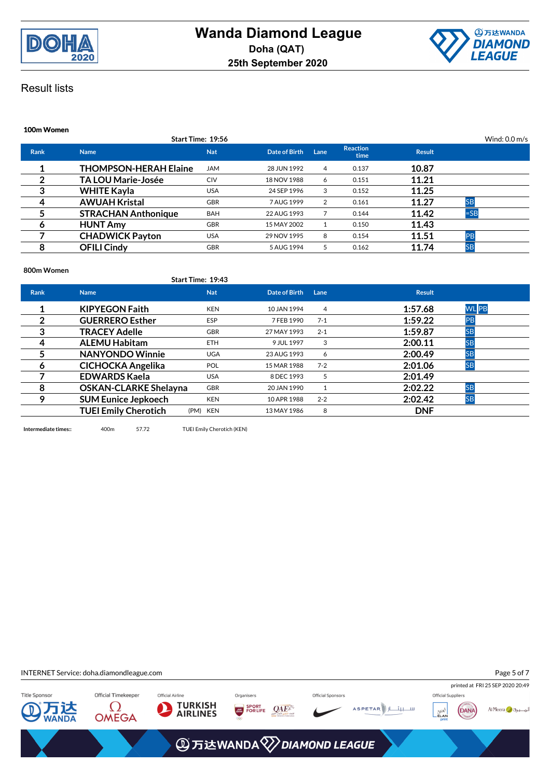



| 100m Women  |                              |                   |               |      |                         |               |                         |
|-------------|------------------------------|-------------------|---------------|------|-------------------------|---------------|-------------------------|
|             |                              | Start Time: 19:56 |               |      |                         |               | Wind: $0.0 \text{ m/s}$ |
| <b>Rank</b> | <b>Name</b>                  | <b>Nat</b>        | Date of Birth | Lane | <b>Reaction</b><br>time | <b>Result</b> |                         |
|             | <b>THOMPSON-HERAH Elaine</b> | <b>JAM</b>        | 28 JUN 1992   | 4    | 0.137                   | 10.87         |                         |
| 2           | <b>TA LOU Marie-Josée</b>    | <b>CIV</b>        | 18 NOV 1988   | 6    | 0.151                   | 11.21         |                         |
| 3           | <b>WHITE Kayla</b>           | <b>USA</b>        | 24 SEP 1996   | 3    | 0.152                   | 11.25         |                         |
| 4           | <b>AWUAH Kristal</b>         | <b>GBR</b>        | 7 AUG 1999    | 2    | 0.161                   | 11.27         | <b>SB</b>               |
| 5           | <b>STRACHAN Anthonique</b>   | <b>BAH</b>        | 22 AUG 1993   |      | 0.144                   | 11.42         | $=$ SB                  |
| 6           | <b>HUNT Amy</b>              | <b>GBR</b>        | 15 MAY 2002   |      | 0.150                   | 11.43         |                         |
|             | <b>CHADWICK Payton</b>       | <b>USA</b>        | 29 NOV 1995   | 8    | 0.154                   | 11.51         | PB                      |
| 8           | <b>OFILI Cindy</b>           | <b>GBR</b>        | 5 AUG 1994    | 5    | 0.162                   | 11.74         | <b>SB</b>               |

#### **800m Women**

|             |                              | Start Time: 19:43 |               |         |               |              |
|-------------|------------------------------|-------------------|---------------|---------|---------------|--------------|
| <b>Rank</b> | <b>Name</b>                  | <b>Nat</b>        | Date of Birth | Lane    | <b>Result</b> |              |
|             | <b>KIPYEGON Faith</b>        | <b>KEN</b>        | 10 JAN 1994   | 4       | 1:57.68       | <b>WL</b> PB |
| 2           | <b>GUERRERO Esther</b>       | <b>ESP</b>        | 7 FEB 1990    | $7 - 1$ | 1:59.22       | PB           |
| 3           | <b>TRACEY Adelle</b>         | <b>GBR</b>        | 27 MAY 1993   | $2 - 1$ | 1:59.87       | <b>SB</b>    |
| 4           | <b>ALEMU Habitam</b>         | ETH.              | 9 JUL 1997    | 3       | 2:00.11       | <b>SB</b>    |
| 5           | <b>NANYONDO Winnie</b>       | <b>UGA</b>        | 23 AUG 1993   | 6       | 2:00.49       | <b>SB</b>    |
| 6           | <b>CICHOCKA Angelika</b>     | <b>POL</b>        | 15 MAR 1988   | $7 - 2$ | 2:01.06       | <b>SB</b>    |
|             | <b>EDWARDS Kaela</b>         | <b>USA</b>        | 8 DEC 1993    | 5       | 2:01.49       |              |
| 8           | <b>OSKAN-CLARKE Shelayna</b> | <b>GBR</b>        | 20 JAN 1990   |         | 2:02.22       | <b>SB</b>    |
| 9           | <b>SUM Eunice Jepkoech</b>   | <b>KEN</b>        | 10 APR 1988   | $2 - 2$ | 2:02.42       | <b>SB</b>    |
|             | <b>TUEI Emily Cherotich</b>  | (PM) KEN          | 13 MAY 1986   | 8       | <b>DNF</b>    |              |
|             |                              |                   |               |         |               |              |

**Intermediate times::** 400m 57.72 TUEI Emily Cherotich (KEN)

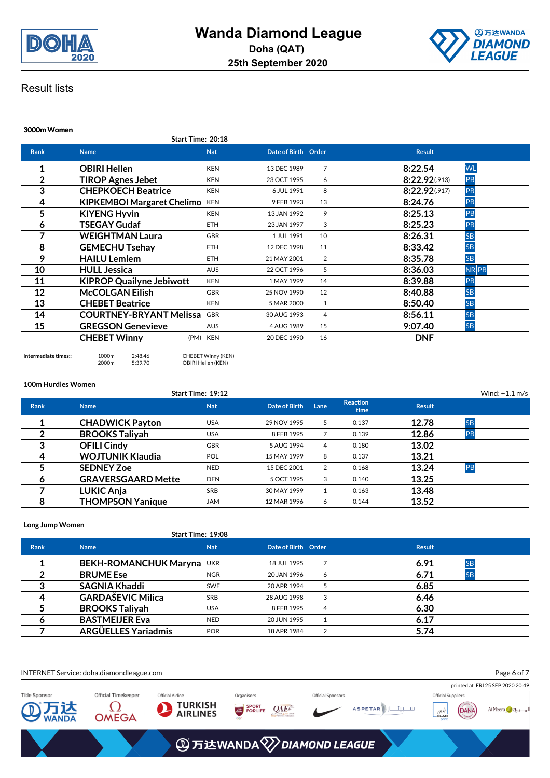



### **3000m Women Start Time: 20:18 Rank Name Nat Date of Birth Order Result 1 OBIRI Hellen** KEN 13 DEC 1989 <sup>7</sup> **8:22.54** WL **2 TIROP Agnes Jebet KEN** 23 OCT 1995 6 **8:22.92**(.913) **PB 3 CHEPKOECH Beatrice** KEN 6 JUL 1991 8 **8:22.92**(.917) PB **4 KIPKEMBOI Margaret Chelimo** KEN 9FEB 1993 13 **8:24.76** PB **5 KIYENG Hyvin** KEN 13 JAN 1992 <sup>9</sup> **8:25.13** PB **6 TSEGAY Gudaf** ETH 23 JAN 1997 <sup>3</sup> **8:25.23** PB **7 WEIGHTMAN Laura** GBR 1 JUL 1991 10 **8:26.31** SB **8 GEMECHU Tsehay** ETH 12 DEC 1998 11 **8:33.42** SB **9 HAILU Lemlem** ETH 21 MAY 2001 <sup>2</sup> **8:35.78** SB **10 HULL Jessica AUS** 22 OCT 1996 5 **8:36.03 NR PB 11 KIPROP Quailyne Jebiwott** KEN 1 MAY 1999 14 **8:39.88** PB **12 McCOLGAN Eilish** GBR 25 NOV 1990 <sup>12</sup> **8:40.88** SB **13 CHEBET Beatrice KEN** 5 MAR 2000 1 **8:50.40** SB **14 COURTNEY-BRYANT Melissa** GBR 30 AUG 1993 4 **8:56.11** SB **15 GREGSON Genevieve** AUS 4AUG 1989 15 **9:07.40** SB **CHEBET Winny** (PM) KEN 20 DEC 1990 <sup>16</sup> **DNF**

**Intermediate times::** 1000m 2:48.46 CHEBET Winny (KEN)<br>2000m 5:39.70 OBIRI Hellen (KEN) OBIRI Hellen (KEN)

**100m Hurdles Women**

|             |                           | Start Time: 19:12 |               |      |                         |               | Wind: $+1.1$ m/s |
|-------------|---------------------------|-------------------|---------------|------|-------------------------|---------------|------------------|
| <b>Rank</b> | <b>Name</b>               | <b>Nat</b>        | Date of Birth | Lane | <b>Reaction</b><br>time | <b>Result</b> |                  |
| л           | <b>CHADWICK Payton</b>    | <b>USA</b>        | 29 NOV 1995   | 5    | 0.137                   | 12.78         | <b>SB</b>        |
| 2           | <b>BROOKS Taliyah</b>     | <b>USA</b>        | 8 FEB 1995    |      | 0.139                   | 12.86         | PB               |
| 3           | <b>OFILI Cindy</b>        | <b>GBR</b>        | 5 AUG 1994    | 4    | 0.180                   | 13.02         |                  |
| 4           | <b>WOJTUNIK Klaudia</b>   | <b>POL</b>        | 15 MAY 1999   | 8    | 0.137                   | 13.21         |                  |
|             | <b>SEDNEY Zoe</b>         | <b>NED</b>        | 15 DEC 2001   | 2    | 0.168                   | 13.24         | PB               |
| 6           | <b>GRAVERSGAARD Mette</b> | <b>DEN</b>        | 5 OCT 1995    | 3    | 0.140                   | 13.25         |                  |
|             | <b>LUKIC Anja</b>         | SRB               | 30 MAY 1999   |      | 0.163                   | 13.48         |                  |
| 8           | <b>THOMPSON Yanique</b>   | <b>JAM</b>        | 12 MAR 1996   | 6    | 0.144                   | 13.52         |                  |

#### **Long Jump Women**

|             | <b>Start Time: 19:08</b>  |            |                     |   |                   |
|-------------|---------------------------|------------|---------------------|---|-------------------|
| <b>Rank</b> | <b>Name</b>               | <b>Nat</b> | Date of Birth Order |   | <b>Result</b>     |
|             | BEKH-ROMANCHUK Maryna UKR |            | 18 JUL 1995         |   | 6.91<br><b>SB</b> |
|             | <b>BRUME Ese</b>          | <b>NGR</b> | 20 JAN 1996         | 6 | 6.71<br><b>SB</b> |
|             | <b>SAGNIA Khaddi</b>      | <b>SWE</b> | 20 APR 1994         |   | 6.85              |
|             | <b>GARDAŠEVIC Milica</b>  | <b>SRB</b> | 28 AUG 1998         | 3 | 6.46              |
|             | <b>BROOKS Taliyah</b>     | <b>USA</b> | 8 FEB 1995          | 4 | 6.30              |
|             | <b>BASTMEIJER Eva</b>     | <b>NED</b> | 20 JUN 1995         |   | 6.17              |
|             | ARGÜELLES Yariadmis       | <b>POR</b> | 18 APR 1984         |   | 5.74              |